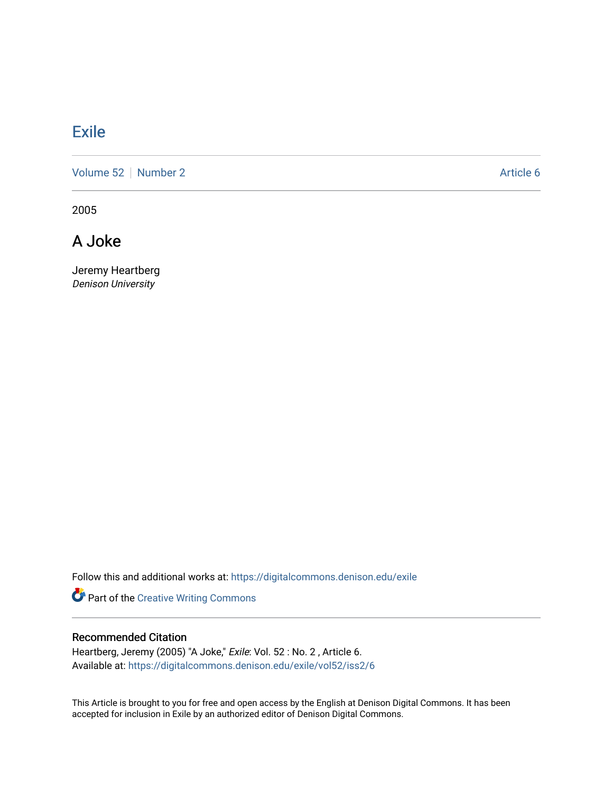## **[Exile](https://digitalcommons.denison.edu/exile)**

[Volume 52](https://digitalcommons.denison.edu/exile/vol52) [Number 2](https://digitalcommons.denison.edu/exile/vol52/iss2) Article 6

2005

A Joke

Jeremy Heartberg Denison University

Follow this and additional works at: [https://digitalcommons.denison.edu/exile](https://digitalcommons.denison.edu/exile?utm_source=digitalcommons.denison.edu%2Fexile%2Fvol52%2Fiss2%2F6&utm_medium=PDF&utm_campaign=PDFCoverPages) 

Part of the [Creative Writing Commons](http://network.bepress.com/hgg/discipline/574?utm_source=digitalcommons.denison.edu%2Fexile%2Fvol52%2Fiss2%2F6&utm_medium=PDF&utm_campaign=PDFCoverPages) 

## Recommended Citation

Heartberg, Jeremy (2005) "A Joke," Exile: Vol. 52 : No. 2, Article 6. Available at: [https://digitalcommons.denison.edu/exile/vol52/iss2/6](https://digitalcommons.denison.edu/exile/vol52/iss2/6?utm_source=digitalcommons.denison.edu%2Fexile%2Fvol52%2Fiss2%2F6&utm_medium=PDF&utm_campaign=PDFCoverPages) 

This Article is brought to you for free and open access by the English at Denison Digital Commons. It has been accepted for inclusion in Exile by an authorized editor of Denison Digital Commons.